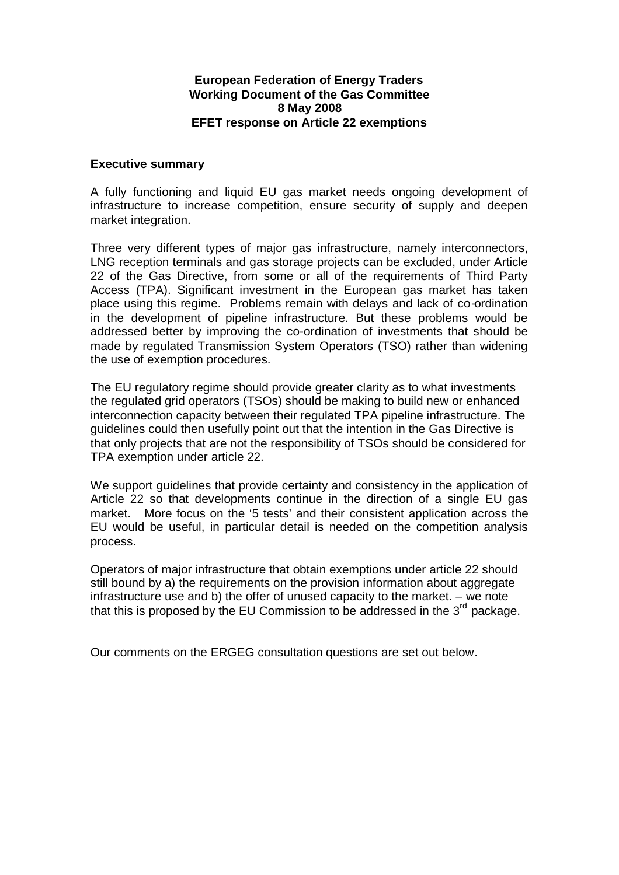## **European Federation of Energy Traders Working Document of the Gas Committee 8 May 2008 EFET response on Article 22 exemptions**

#### **Executive summary**

A fully functioning and liquid EU gas market needs ongoing development of infrastructure to increase competition, ensure security of supply and deepen market integration.

Three very different types of major gas infrastructure, namely interconnectors, LNG reception terminals and gas storage projects can be excluded, under Article 22 of the Gas Directive, from some or all of the requirements of Third Party Access (TPA). Significant investment in the European gas market has taken place using this regime. Problems remain with delays and lack of co-ordination in the development of pipeline infrastructure. But these problems would be addressed better by improving the co-ordination of investments that should be made by regulated Transmission System Operators (TSO) rather than widening the use of exemption procedures.

The EU regulatory regime should provide greater clarity as to what investments the regulated grid operators (TSOs) should be making to build new or enhanced interconnection capacity between their regulated TPA pipeline infrastructure. The guidelines could then usefully point out that the intention in the Gas Directive is that only projects that are not the responsibility of TSOs should be considered for TPA exemption under article 22.

We support quidelines that provide certainty and consistency in the application of Article 22 so that developments continue in the direction of a single EU gas market. More focus on the '5 tests' and their consistent application across the EU would be useful, in particular detail is needed on the competition analysis process.

Operators of major infrastructure that obtain exemptions under article 22 should still bound by a) the requirements on the provision information about aggregate infrastructure use and b) the offer of unused capacity to the market. – we note that this is proposed by the EU Commission to be addressed in the  $3<sup>rd</sup>$  package.

Our comments on the ERGEG consultation questions are set out below.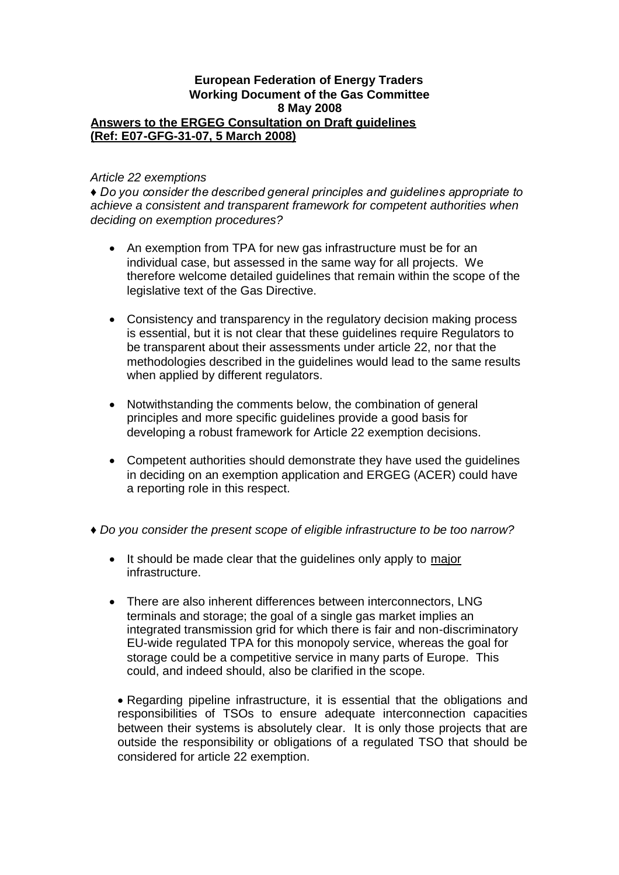#### **European Federation of Energy Traders Working Document of the Gas Committee 8 May 2008 Answers to the ERGEG Consultation on Draft guidelines (Ref: E07-GFG-31-07, 5 March 2008)**

#### *Article 22 exemptions*

*♦Do you consider the described general principles and guidelines appropriate to achieve a consistent and transparent framework for competent authorities when deciding on exemption procedures?*

- An exemption from TPA for new gas infrastructure must be for an individual case, but assessed in the same way for all projects. We therefore welcome detailed guidelines that remain within the scope of the legislative text of the Gas Directive.
- Consistency and transparency in the regulatory decision making process is essential, but it is not clear that these guidelines require Regulators to be transparent about their assessments under article 22, nor that the methodologies described in the guidelines would lead to the same results when applied by different regulators.
- Notwithstanding the comments below, the combination of general principles and more specific guidelines provide a good basis for developing a robust framework for Article 22 exemption decisions.
- Competent authorities should demonstrate they have used the guidelines in deciding on an exemption application and ERGEG (ACER) could have a reporting role in this respect.
- ♦*Do you consider the present scope of eligible infrastructure to be too narrow?*
	- It should be made clear that the quidelines only apply to major infrastructure.
	- There are also inherent differences between interconnectors, LNG terminals and storage; the goal of a single gas market implies an integrated transmission grid for which there is fair and non-discriminatory EU-wide regulated TPA for this monopoly service, whereas the goal for storage could be a competitive service in many parts of Europe. This could, and indeed should, also be clarified in the scope.

Regarding pipeline infrastructure, it is essential that the obligations and responsibilities of TSOs to ensure adequate interconnection capacities between their systems is absolutely clear. It is only those projects that are outside the responsibility or obligations of a regulated TSO that should be considered for article 22 exemption.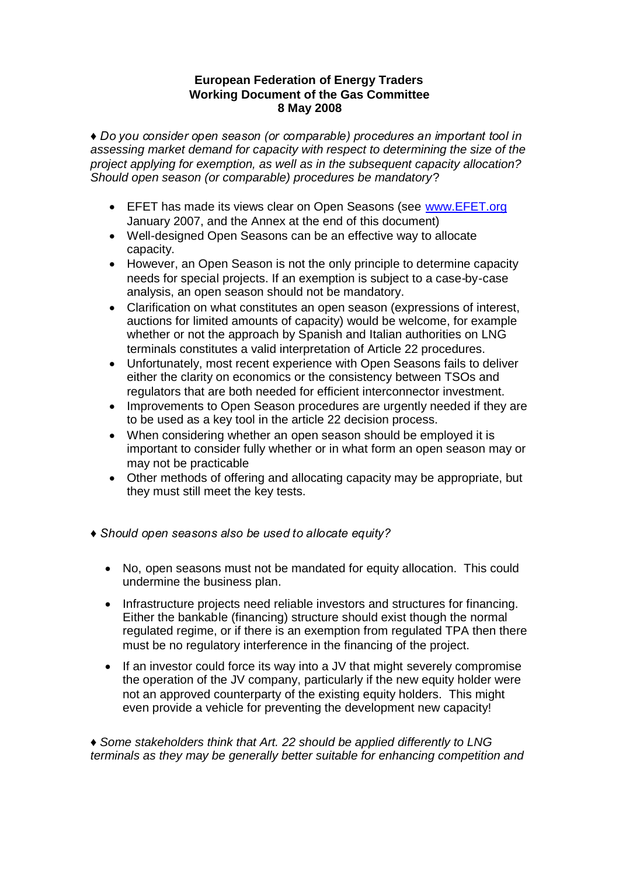*♦Do you consider open season (or comparable) procedures an important tool in assessing market demand for capacity with respect to determining the size of the project applying for exemption, as well as in the subsequent capacity allocation? Should open season (or comparable) procedures be mandatory*?

- **EFET has made its views clear on Open Seasons (see www.EFET.org** January 2007, and the Annex at the end of this document)
- Well-designed Open Seasons can be an effective way to allocate capacity.
- However, an Open Season is not the only principle to determine capacity needs for special projects. If an exemption is subject to a case-by-case analysis, an open season should not be mandatory.
- Clarification on what constitutes an open season (expressions of interest, auctions for limited amounts of capacity) would be welcome, for example whether or not the approach by Spanish and Italian authorities on LNG terminals constitutes a valid interpretation of Article 22 procedures.
- Unfortunately, most recent experience with Open Seasons fails to deliver either the clarity on economics or the consistency between TSOs and regulators that are both needed for efficient interconnector investment.
- Improvements to Open Season procedures are urgently needed if they are to be used as a key tool in the article 22 decision process.
- When considering whether an open season should be employed it is important to consider fully whether or in what form an open season may or may not be practicable
- Other methods of offering and allocating capacity may be appropriate, but they must still meet the key tests.
- *♦Should open seasons also be used to allocate equity?*
	- No, open seasons must not be mandated for equity allocation. This could undermine the business plan.
	- Infrastructure projects need reliable investors and structures for financing. Either the bankable (financing) structure should exist though the normal regulated regime, or if there is an exemption from regulated TPA then there must be no regulatory interference in the financing of the project.
	- If an investor could force its way into a JV that might severely compromise the operation of the JV company, particularly if the new equity holder were not an approved counterparty of the existing equity holders. This might even provide a vehicle for preventing the development new capacity!

♦*Some stakeholders think that Art. 22 should be applied differently to LNG terminals as they may be generally better suitable for enhancing competition and*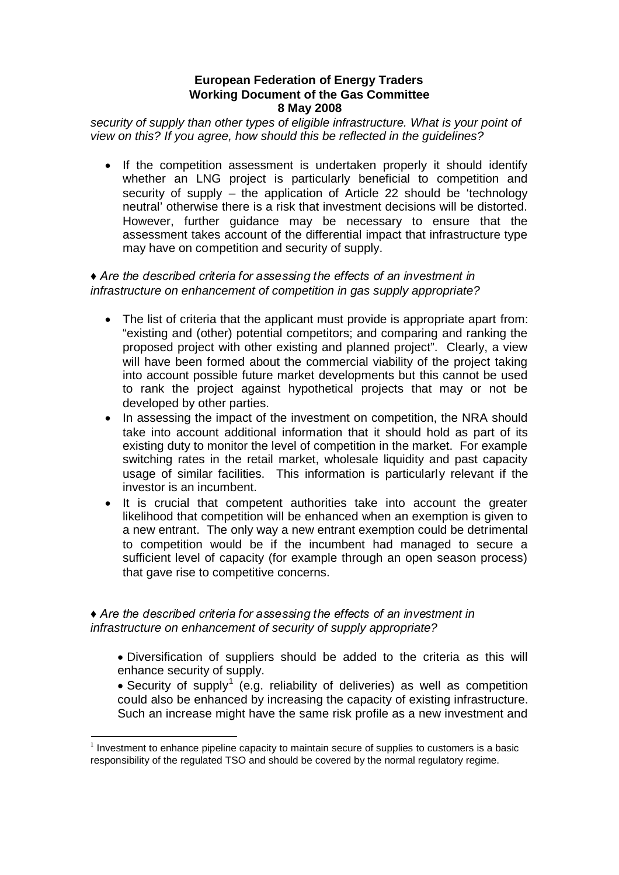*security of supply than other types of eligible infrastructure. What is your point of view on this? If you agree, how should this be reflected in the guidelines?*

• If the competition assessment is undertaken properly it should identify whether an LNG project is particularly beneficial to competition and security of supply – the application of Article 22 should be 'technology neutral' otherwise there is a risk that investment decisions will be distorted. However, further guidance may be necessary to ensure that the assessment takes account of the differential impact that infrastructure type may have on competition and security of supply.

# *♦Are the described criteria for assessing the effects of an investment in infrastructure on enhancement of competition in gas supply appropriate?*

- The list of criteria that the applicant must provide is appropriate apart from: "existing and (other) potential competitors; and comparing and ranking the proposed project with other existing and planned project". Clearly, a view will have been formed about the commercial viability of the project taking into account possible future market developments but this cannot be used to rank the project against hypothetical projects that may or not be developed by other parties.
- In assessing the impact of the investment on competition, the NRA should take into account additional information that it should hold as part of its existing duty to monitor the level of competition in the market. For example switching rates in the retail market, wholesale liquidity and past capacity usage of similar facilities. This information is particularly relevant if the investor is an incumbent.
- It is crucial that competent authorities take into account the greater likelihood that competition will be enhanced when an exemption is given to a new entrant. The only way a new entrant exemption could be detrimental to competition would be if the incumbent had managed to secure a sufficient level of capacity (for example through an open season process) that gave rise to competitive concerns.

## *♦Are the described criteria for assessing the effects of an investment in infrastructure on enhancement of security of supply appropriate?*

- Diversification of suppliers should be added to the criteria as this will enhance security of supply.
- Security of supply<sup>1</sup> (e.g. reliability of deliveries) as well as competition could also be enhanced by increasing the capacity of existing infrastructure. Such an increase might have the same risk profile as a new investment and

 $1$  Investment to enhance pipeline capacity to maintain secure of supplies to customers is a basic responsibility of the regulated TSO and should be covered by the normal regulatory regime.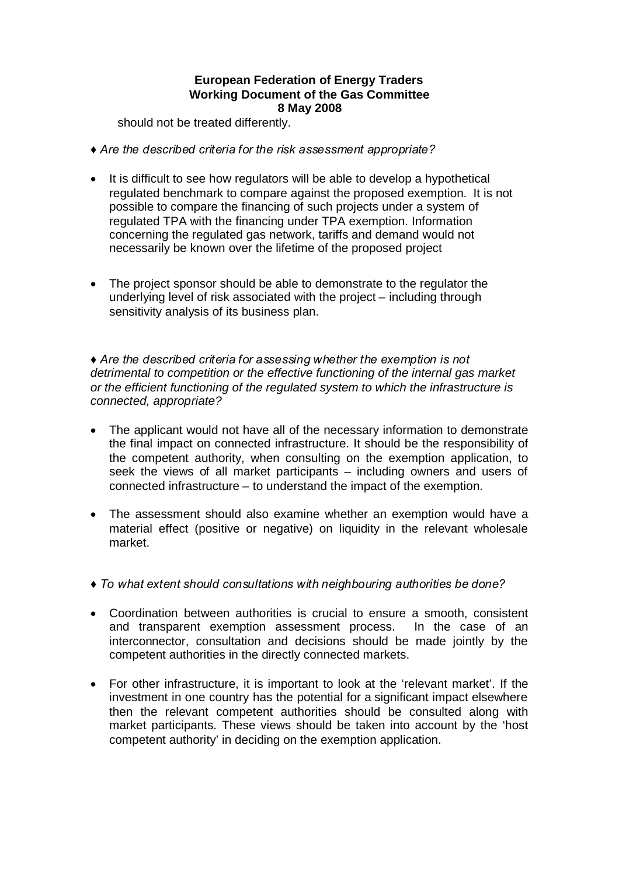should not be treated differently.

- *♦Are the described criteria for the risk assessment appropriate?*
- It is difficult to see how regulators will be able to develop a hypothetical regulated benchmark to compare against the proposed exemption. It is not possible to compare the financing of such projects under a system of regulated TPA with the financing under TPA exemption. Information concerning the regulated gas network, tariffs and demand would not necessarily be known over the lifetime of the proposed project
- The project sponsor should be able to demonstrate to the regulator the underlying level of risk associated with the project – including through sensitivity analysis of its business plan.

*♦Are the described criteria for assessing whether the exemption is not detrimental to competition or the effective functioning of the internal gas market or the efficient functioning of the regulated system to which the infrastructure is connected, appropriate?*

- The applicant would not have all of the necessary information to demonstrate the final impact on connected infrastructure. It should be the responsibility of the competent authority, when consulting on the exemption application, to seek the views of all market participants – including owners and users of connected infrastructure – to understand the impact of the exemption.
- The assessment should also examine whether an exemption would have a material effect (positive or negative) on liquidity in the relevant wholesale market.
- *♦To what extent should consultations with neighbouring authorities be done?*
- Coordination between authorities is crucial to ensure a smooth, consistent and transparent exemption assessment process. In the case of an interconnector, consultation and decisions should be made jointly by the competent authorities in the directly connected markets.
- For other infrastructure, it is important to look at the 'relevant market'. If the investment in one country has the potential for a significant impact elsewhere then the relevant competent authorities should be consulted along with market participants. These views should be taken into account by the 'host competent authority' in deciding on the exemption application.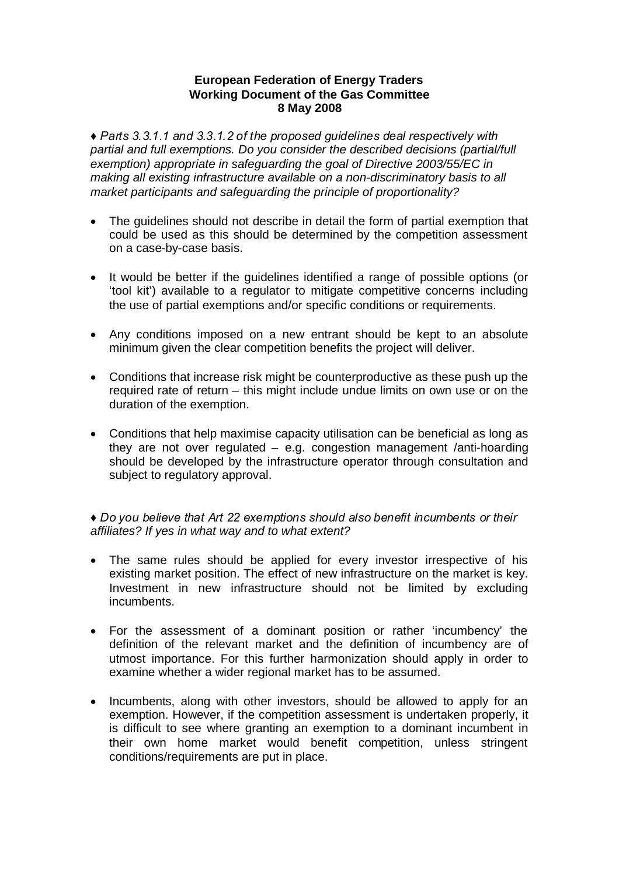*♦Parts 3.3.1.1 and 3.3.1.2 of the proposed guidelines deal respectively with partial and full exemptions. Do you consider the described decisions (partial/full exemption) appropriate in safeguarding the goal of Directive 2003/55/EC in making all existing infrastructure available on a non-discriminatory basis to all market participants and safeguarding the principle of proportionality?*

- The guidelines should not describe in detail the form of partial exemption that could be used as this should be determined by the competition assessment on a case-by-case basis.
- It would be better if the guidelines identified a range of possible options (or 'tool kit') available to a regulator to mitigate competitive concerns including the use of partial exemptions and/or specific conditions or requirements.
- Any conditions imposed on a new entrant should be kept to an absolute minimum given the clear competition benefits the project will deliver.
- Conditions that increase risk might be counterproductive as these push up the required rate of return – this might include undue limits on own use or on the duration of the exemption.
- Conditions that help maximise capacity utilisation can be beneficial as long as they are not over regulated – e.g. congestion management /anti-hoarding should be developed by the infrastructure operator through consultation and subject to regulatory approval.

*♦Do you believe that Art 22 exemptions should also benefit incumbents or their affiliates? If yes in what way and to what extent?*

- The same rules should be applied for every investor irrespective of his existing market position. The effect of new infrastructure on the market is key. Investment in new infrastructure should not be limited by excluding incumbents.
- For the assessment of a dominant position or rather 'incumbency' the definition of the relevant market and the definition of incumbency are of utmost importance. For this further harmonization should apply in order to examine whether a wider regional market has to be assumed.
- Incumbents, along with other investors, should be allowed to apply for an exemption. However, if the competition assessment is undertaken properly, it is difficult to see where granting an exemption to a dominant incumbent in their own home market would benefit competition, unless stringent conditions/requirements are put in place.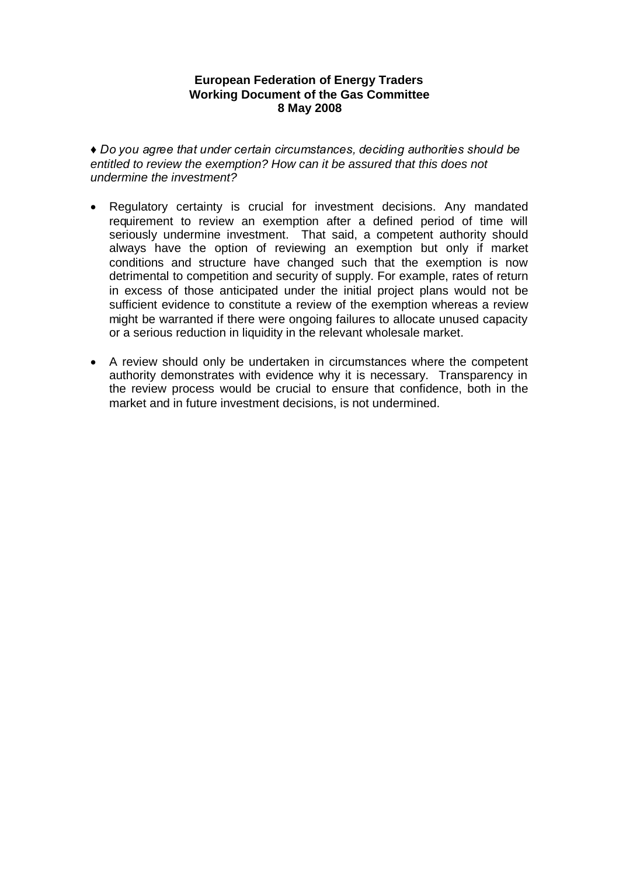*♦Do you agree that under certain circumstances, deciding authorities should be entitled to review the exemption? How can it be assured that this does not undermine the investment?*

- Regulatory certainty is crucial for investment decisions. Any mandated requirement to review an exemption after a defined period of time will seriously undermine investment. That said, a competent authority should always have the option of reviewing an exemption but only if market conditions and structure have changed such that the exemption is now detrimental to competition and security of supply. For example, rates of return in excess of those anticipated under the initial project plans would not be sufficient evidence to constitute a review of the exemption whereas a review might be warranted if there were ongoing failures to allocate unused capacity or a serious reduction in liquidity in the relevant wholesale market.
- A review should only be undertaken in circumstances where the competent authority demonstrates with evidence why it is necessary. Transparency in the review process would be crucial to ensure that confidence, both in the market and in future investment decisions, is not undermined.